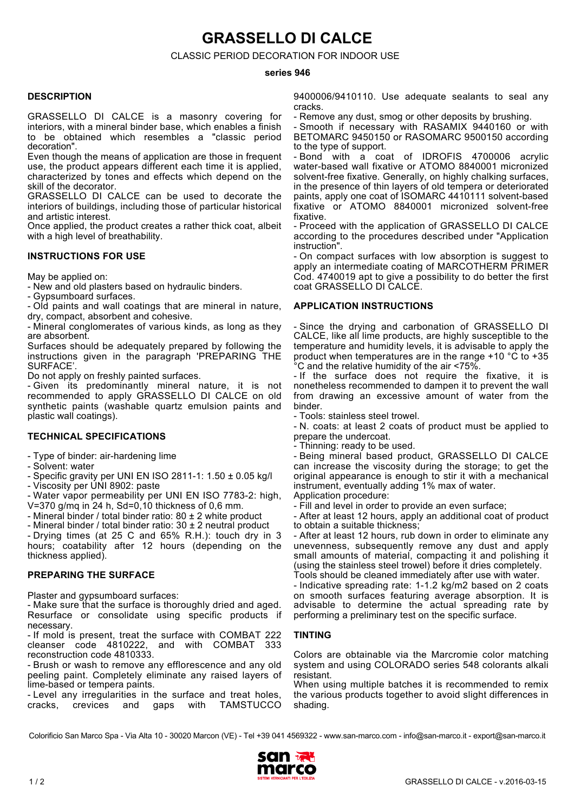**GRASSELLO DI CALCE**

CLASSIC PERIOD DECORATION FOR INDOOR USE

#### **series 946**

## **DESCRIPTION**

GRASSELLO DI CALCE is a masonry covering for interiors, with a mineral binder base, which enables a finish to be obtained which resembles a "classic period decoration".

Even though the means of application are those in frequent use, the product appears different each time it is applied, characterized by tones and effects which depend on the skill of the decorator.

GRASSELLO DI CALCE can be used to decorate the interiors of buildings, including those of particular historical and artistic interest.

Once applied, the product creates a rather thick coat, albeit with a high level of breathability.

## **INSTRUCTIONS FOR USE**

May be applied on:

- New and old plasters based on hydraulic binders.

- Gypsumboard surfaces.

- Old paints and wall coatings that are mineral in nature, dry, compact, absorbent and cohesive.

- Mineral conglomerates of various kinds, as long as they are absorbent.

Surfaces should be adequately prepared by following the instructions given in the paragraph 'PREPARING THE SURFACE'.

Do not apply on freshly painted surfaces.

- Given its predominantly mineral nature, it is not recommended to apply GRASSELLO DI CALCE on old synthetic paints (washable quartz emulsion paints and plastic wall coatings).

## **TECHNICAL SPECIFICATIONS**

- Type of binder: air-hardening lime

- Solvent: water
- Specific gravity per UNI EN ISO 2811-1: 1.50 ± 0.05 kg/l
- Viscosity per UNI 8902: paste

- Water vapor permeability per UNI EN ISO 7783-2: high, V=370 g/mq in 24 h, Sd=0,10 thickness of 0,6 mm.

- Mineral binder / total binder ratio: 80 ± 2 white product

- Mineral binder / total binder ratio: 30 ± 2 neutral product

- Drying times (at 25 C and 65% R.H.): touch dry in 3 hours; coatability after 12 hours (depending on the thickness applied).

## **PREPARING THE SURFACE**

Plaster and gypsumboard surfaces:

- Make sure that the surface is thoroughly dried and aged. Resurface or consolidate using specific products if necessary.

- If mold is present, treat the surface with COMBAT 222 cleanser code 4810222, and with COMBAT 333 reconstruction code 4810333.

- Brush or wash to remove any efflorescence and any old peeling paint. Completely eliminate any raised layers of lime-based or tempera paints.

- Level any irregularities in the surface and treat holes, cracks, crevices and gaps with TAMSTUCCO with TAMSTUCCO 9400006/9410110. Use adequate sealants to seal any cracks.

- Remove any dust, smog or other deposits by brushing.

- Smooth if necessary with RASAMIX 9440160 or with BETOMARC 9450150 or RASOMARC 9500150 according to the type of support.

- Bond with a coat of IDROFIS 4700006 acrylic water-based wall fixative or ATOMO 8840001 micronized solvent-free fixative. Generally, on highly chalking surfaces, in the presence of thin layers of old tempera or deteriorated paints, apply one coat of ISOMARC 4410111 solvent-based fixative or ATOMO 8840001 micronized solvent-free fixative.

- Proceed with the application of GRASSELLO DI CALCE according to the procedures described under "Application instruction".

- On compact surfaces with low absorption is suggest to apply an intermediate coating of MARCOTHERM PRIMER Cod. 4740019 apt to give a possibility to do better the first coat GRASSELLO DI CALCE.

## **APPLICATION INSTRUCTIONS**

- Since the drying and carbonation of GRASSELLO DI CALCE, like all lime products, are highly susceptible to the temperature and humidity levels, it is advisable to apply the product when temperatures are in the range +10 °C to +35  $\rm{^{\circ}C}$  and the relative humidity of the air <75%.

- If the surface does not require the fixative, it is nonetheless recommended to dampen it to prevent the wall from drawing an excessive amount of water from the binder.

- Tools: stainless steel trowel.

- N. coats: at least 2 coats of product must be applied to prepare the undercoat.

- Thinning: ready to be used.

- Being mineral based product, GRASSELLO DI CALCE can increase the viscosity during the storage; to get the original appearance is enough to stir it with a mechanical instrument, eventually adding 1% max of water. Application procedure:

- Fill and level in order to provide an even surface;

- After at least 12 hours, apply an additional coat of product to obtain a suitable thickness;

- After at least 12 hours, rub down in order to eliminate any unevenness, subsequently remove any dust and apply small amounts of material, compacting it and polishing it (using the stainless steel trowel) before it dries completely. Tools should be cleaned immediately after use with water.

- Indicative spreading rate: 1-1.2 kg/m2 based on 2 coats on smooth surfaces featuring average absorption. It is advisable to determine the actual spreading rate by performing a preliminary test on the specific surface.

## **TINTING**

Colors are obtainable via the Marcromie color matching system and using COLORADO series 548 colorants alkali resistant.

When using multiple batches it is recommended to remix the various products together to avoid slight differences in shading.

Colorificio San Marco Spa - Via Alta 10 - 30020 Marcon (VE) - Tel +39 041 4569322 - www.san-marco.com - info@san-marco.it - export@san-marco.it